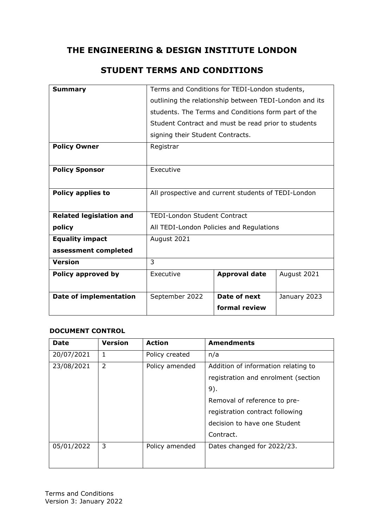# **THE ENGINEERING & DESIGN INSTITUTE LONDON**

# **STUDENT TERMS AND CONDITIONS**

| <b>Summary</b>                 | Terms and Conditions for TEDI-London students,         |                      |              |
|--------------------------------|--------------------------------------------------------|----------------------|--------------|
|                                | outlining the relationship between TEDI-London and its |                      |              |
|                                | students. The Terms and Conditions form part of the    |                      |              |
|                                | Student Contract and must be read prior to students    |                      |              |
|                                | signing their Student Contracts.                       |                      |              |
| <b>Policy Owner</b>            | Registrar                                              |                      |              |
|                                |                                                        |                      |              |
| <b>Policy Sponsor</b>          | Executive                                              |                      |              |
|                                |                                                        |                      |              |
| <b>Policy applies to</b>       | All prospective and current students of TEDI-London    |                      |              |
|                                |                                                        |                      |              |
| <b>Related legislation and</b> | <b>TEDI-London Student Contract</b>                    |                      |              |
| policy                         | All TEDI-London Policies and Regulations               |                      |              |
| <b>Equality impact</b>         | August 2021                                            |                      |              |
| assessment completed           |                                                        |                      |              |
| <b>Version</b>                 | 3                                                      |                      |              |
| Policy approved by             | Executive                                              | <b>Approval date</b> | August 2021  |
|                                |                                                        |                      |              |
| <b>Date of implementation</b>  | September 2022                                         | Date of next         | January 2023 |
|                                |                                                        | formal review        |              |

#### **DOCUMENT CONTROL**

| <b>Date</b> | <b>Version</b> | <b>Action</b>  | <b>Amendments</b>                   |
|-------------|----------------|----------------|-------------------------------------|
| 20/07/2021  | 1              | Policy created | n/a                                 |
| 23/08/2021  | $\overline{2}$ | Policy amended | Addition of information relating to |
|             |                |                | registration and enrolment (section |
|             |                |                | 9).                                 |
|             |                |                | Removal of reference to pre-        |
|             |                |                | registration contract following     |
|             |                |                | decision to have one Student        |
|             |                |                | Contract.                           |
| 05/01/2022  | 3              | Policy amended | Dates changed for 2022/23.          |
|             |                |                |                                     |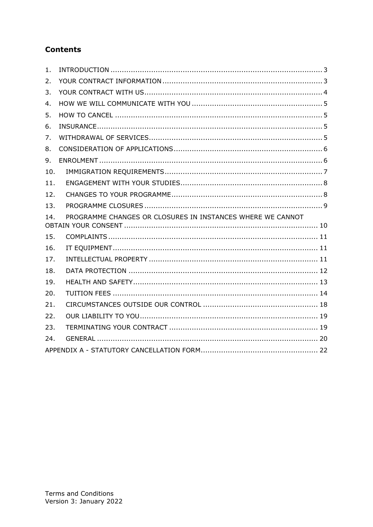# **Contents**

| 1.  |                                                            |
|-----|------------------------------------------------------------|
| 2.  |                                                            |
| 3.  |                                                            |
| 4.  |                                                            |
| 5.  |                                                            |
| 6.  |                                                            |
| 7.  |                                                            |
| 8.  |                                                            |
| 9.  |                                                            |
| 10. |                                                            |
| 11. |                                                            |
| 12. |                                                            |
| 13. |                                                            |
| 14. | PROGRAMME CHANGES OR CLOSURES IN INSTANCES WHERE WE CANNOT |
|     |                                                            |
| 15. |                                                            |
| 16. |                                                            |
| 17. |                                                            |
| 18. |                                                            |
| 19. |                                                            |
| 20. |                                                            |
| 21. |                                                            |
| 22. |                                                            |
| 23. |                                                            |
| 24. |                                                            |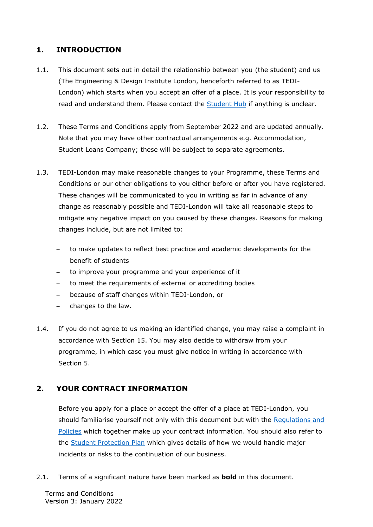# <span id="page-2-0"></span>**1. INTRODUCTION**

- 1.1. This document sets out in detail the relationship between you (the student) and us (The Engineering & Design Institute London, henceforth referred to as TEDI-London) which starts when you accept an offer of a place. It is your responsibility to read and understand them. Please contact the [Student Hub](mailto:studenthub@tedi-london.ac.uk?subject=Query%20about%20Terms%20and%20Conditions) if anything is unclear.
- 1.2. These Terms and Conditions apply from September 2022 and are updated annually. Note that you may have other contractual arrangements e.g. Accommodation, Student Loans Company; these will be subject to separate agreements.
- 1.3. TEDI-London may make reasonable changes to your Programme, these Terms and Conditions or our other obligations to you either before or after you have registered. These changes will be communicated to you in writing as far in advance of any change as reasonably possible and TEDI-London will take all reasonable steps to mitigate any negative impact on you caused by these changes. Reasons for making changes include, but are not limited to:
	- to make updates to reflect best practice and academic developments for the benefit of students
	- − to improve your programme and your experience of it
	- − to meet the requirements of external or accrediting bodies
	- − because of staff changes within TEDI-London, or
	- − changes to the law.
- 1.4. If you do not agree to us making an identified change, you may raise a complaint in accordance with Section 15. You may also decide to withdraw from your programme, in which case you must give notice in writing in accordance with Section 5.

# <span id="page-2-1"></span>**2. YOUR CONTRACT INFORMATION**

Before you apply for a place or accept the offer of a place at TEDI-London, you should familiarise yourself not only with this document but with the [Regulations and](https://tedi-london.ac.uk/policies/)  [Policies](https://tedi-london.ac.uk/policies/) which together make up your contract information. You should also refer to the [Student Protection Plan](https://tedi-london.ac.uk/policies/) which gives details of how we would handle major incidents or risks to the continuation of our business.

2.1. Terms of a significant nature have been marked as **bold** in this document.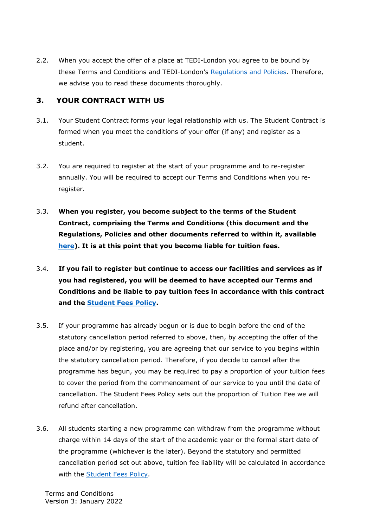2.2. When you accept the offer of a place at TEDI-London you agree to be bound by these Terms and Conditions and TEDI-London's [Regulations](https://tedi-london.ac.uk/policies/) and Policies. Therefore, we advise you to read these documents thoroughly.

### <span id="page-3-0"></span>**3. YOUR CONTRACT WITH US**

- 3.1. Your Student Contract forms your legal relationship with us. The Student Contract is formed when you meet the conditions of your offer (if any) and register as a student.
- 3.2. You are required to register at the start of your programme and to re-register annually. You will be required to accept our Terms and Conditions when you reregister.
- 3.3. **When you register, you become subject to the terms of the Student Contract, comprising the Terms and Conditions (this document and the Regulations, Policies and other documents referred to within it, available [here\)](https://tedi-london.ac.uk/policies/). It is at this point that you become liable for tuition fees.**
- 3.4. **If you fail to register but continue to access our facilities and services as if you had registered, you will be deemed to have accepted our Terms and Conditions and be liable to pay tuition fees in accordance with this contract and the [Student Fees Policy.](https://tedi-london.ac.uk/policies/)**
- 3.5. If your programme has already begun or is due to begin before the end of the statutory cancellation period referred to above, then, by accepting the offer of the place and/or by registering, you are agreeing that our service to you begins within the statutory cancellation period. Therefore, if you decide to cancel after the programme has begun, you may be required to pay a proportion of your tuition fees to cover the period from the commencement of our service to you until the date of cancellation. The Student Fees Policy sets out the proportion of Tuition Fee we will refund after cancellation.
- 3.6. All students starting a new programme can withdraw from the programme without charge within 14 days of the start of the academic year or the formal start date of the programme (whichever is the later). Beyond the statutory and permitted cancellation period set out above, tuition fee liability will be calculated in accordance with the [Student Fees Policy.](https://tedi-london.ac.uk/policies/)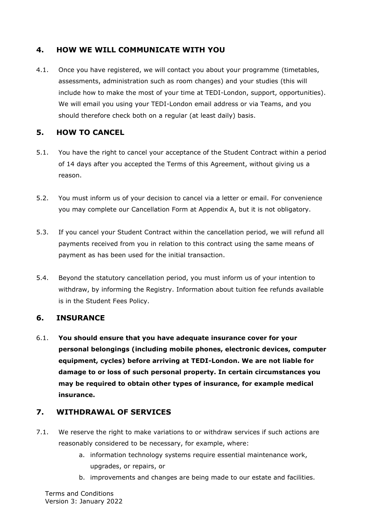# <span id="page-4-0"></span>**4. HOW WE WILL COMMUNICATE WITH YOU**

4.1. Once you have registered, we will contact you about your programme (timetables, assessments, administration such as room changes) and your studies (this will include how to make the most of your time at TEDI-London, support, opportunities). We will email you using your TEDI-London email address or via Teams, and you should therefore check both on a regular (at least daily) basis.

# <span id="page-4-1"></span>**5. HOW TO CANCEL**

- 5.1. You have the right to cancel your acceptance of the Student Contract within a period of 14 days after you accepted the Terms of this Agreement, without giving us a reason.
- 5.2. You must inform us of your decision to cancel via a letter or email. For convenience you may complete our Cancellation Form at [Appendix A,](#page-21-0) but it is not obligatory.
- 5.3. If you cancel your Student Contract within the cancellation period, we will refund all payments received from you in relation to this contract using the same means of payment as has been used for the initial transaction.
- 5.4. Beyond the statutory cancellation period, you must inform us of your intention to withdraw, by informing the Registry. Information about tuition fee refunds available is in the Student Fees Policy.

# <span id="page-4-2"></span>**6. INSURANCE**

6.1. **You should ensure that you have adequate insurance cover for your personal belongings (including mobile phones, electronic devices, computer equipment, cycles) before arriving at TEDI-London. We are not liable for damage to or loss of such personal property. In certain circumstances you may be required to obtain other types of insurance, for example medical insurance.** 

# <span id="page-4-3"></span>**7. WITHDRAWAL OF SERVICES**

- 7.1. We reserve the right to make variations to or withdraw services if such actions are reasonably considered to be necessary, for example, where:
	- a. information technology systems require essential maintenance work, upgrades, or repairs, or
	- b. improvements and changes are being made to our estate and facilities.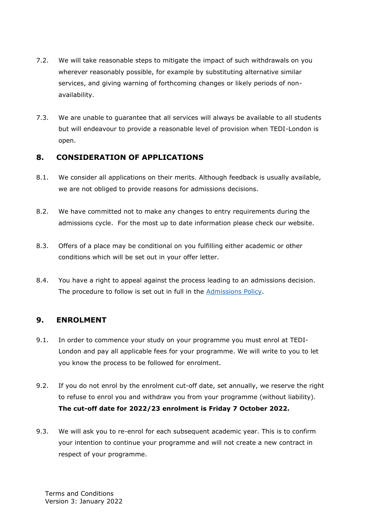- 7.2. We will take reasonable steps to mitigate the impact of such withdrawals on you wherever reasonably possible, for example by substituting alternative similar services, and giving warning of forthcoming changes or likely periods of nonavailability.
- 7.3. We are unable to guarantee that all services will always be available to all students but will endeavour to provide a reasonable level of provision when TEDI-London is open.

# <span id="page-5-0"></span>**8. CONSIDERATION OF APPLICATIONS**

- 8.1. We consider all applications on their merits. Although feedback is usually available, we are not obliged to provide reasons for admissions decisions.
- 8.2. We have committed not to make any changes to entry requirements during the admissions cycle. For the most up to date information please check our website.
- 8.3. Offers of a place may be conditional on you fulfilling either academic or other conditions which will be set out in your offer letter.
- 8.4. You have a right to appeal against the process leading to an admissions decision. The procedure to follow is set out in full in the [Admissions Policy.](https://tedi-london.ac.uk/policies/)

# <span id="page-5-1"></span>**9. ENROLMENT**

- 9.1. In order to commence your study on your programme you must enrol at TEDI-London and pay all applicable fees for your programme. We will write to you to let you know the process to be followed for enrolment.
- 9.2. If you do not enrol by the enrolment cut-off date, set annually, we reserve the right to refuse to enrol you and withdraw you from your programme (without liability). **The cut-off date for 2022/23 enrolment is Friday 7 October 2022.**
- 9.3. We will ask you to re-enrol for each subsequent academic year. This is to confirm your intention to continue your programme and will not create a new contract in respect of your programme.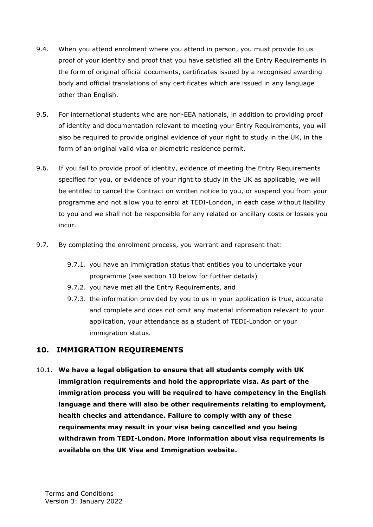- 9.4. When you attend enrolment where you attend in person, you must provide to us proof of your identity and proof that you have satisfied all the Entry Requirements in the form of original official documents, certificates issued by a recognised awarding body and official translations of any certificates which are issued in any language other than English.
- 9.5. For international students who are non-EEA nationals, in addition to providing proof of identity and documentation relevant to meeting your Entry Requirements, you will also be required to provide original evidence of your right to study in the UK, in the form of an original valid visa or biometric residence permit.
- 9.6. If you fail to provide proof of identity, evidence of meeting the Entry Requirements specified for you, or evidence of your right to study in the UK as applicable, we will be entitled to cancel the Contract on written notice to you, or suspend you from your programme and not allow you to enrol at TEDI-London, in each case without liability to you and we shall not be responsible for any related or ancillary costs or losses you incur.
- 9.7. By completing the enrolment process, you warrant and represent that:
	- 9.7.1. you have an immigration status that entitles you to undertake your programme (see section 10 below for further details)
	- 9.7.2. you have met all the Entry Requirements, and
	- 9.7.3. the information provided by you to us in your application is true, accurate and complete and does not omit any material information relevant to your application, your attendance as a student of TEDI-London or your immigration status.

# <span id="page-6-0"></span>**10. IMMIGRATION REQUIREMENTS**

10.1. **We have a legal obligation to ensure that all students comply with UK immigration requirements and hold the appropriate visa. As part of the immigration process you will be required to have competency in the English language and there will also be other requirements relating to employment, health checks and attendance. Failure to comply with any of these requirements may result in your visa being cancelled and you being withdrawn from TEDI-London. More information about visa requirements is available on the [UK Visa and Immigration website.](https://www.gov.uk/browse/visas-immigration/student-visas)**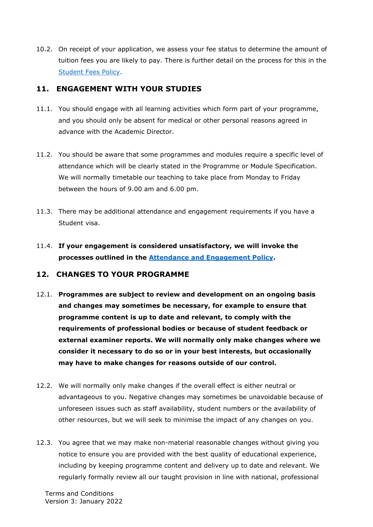10.2. On receipt of your application, we assess your fee status to determine the amount of tuition fees you are likely to pay. There is further detail on the process for this in the [Student Fees Policy.](https://tedi-london.ac.uk/policies/)

### <span id="page-7-0"></span>**11. ENGAGEMENT WITH YOUR STUDIES**

- 11.1. You should engage with all learning activities which form part of your programme, and you should only be absent for medical or other personal reasons agreed in advance with the Academic Director.
- 11.2. You should be aware that some programmes and modules require a specific level of attendance which will be clearly stated in the Programme or Module Specification. We will normally timetable our teaching to take place from Monday to Friday between the hours of 9.00 am and 6.00 pm.
- 11.3. There may be additional attendance and engagement requirements if you have a Student visa.
- 11.4. **If your engagement is considered unsatisfactory, we will invoke the processes outlined in the [Attendance and Engagement Policy.](https://tedi-london.ac.uk/policies/)**

#### <span id="page-7-1"></span>**12. CHANGES TO YOUR PROGRAMME**

- 12.1. **Programmes are subject to review and development on an ongoing basis and changes may sometimes be necessary, for example to ensure that programme content is up to date and relevant, to comply with the requirements of professional bodies or because of student feedback or external examiner reports. We will normally only make changes where we consider it necessary to do so or in your best interests, but occasionally may have to make changes for reasons outside of our control.**
- 12.2. We will normally only make changes if the overall effect is either neutral or advantageous to you. Negative changes may sometimes be unavoidable because of unforeseen issues such as staff availability, student numbers or the availability of other resources, but we will seek to minimise the impact of any changes on you.
- 12.3. You agree that we may make non-material reasonable changes without giving you notice to ensure you are provided with the best quality of educational experience, including by keeping programme content and delivery up to date and relevant. We regularly formally review all our taught provision in line with national, professional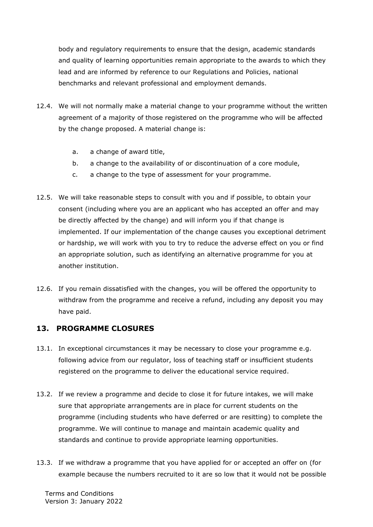body and regulatory requirements to ensure that the design, academic standards and quality of learning opportunities remain appropriate to the awards to which they lead and are informed by reference to our Regulations and Policies, national benchmarks and relevant professional and employment demands.

- 12.4. We will not normally make a material change to your programme without the written agreement of a majority of those registered on the programme who will be affected by the change proposed. A material change is:
	- a. a change of award title,
	- b. a change to the availability of or discontinuation of a core module,
	- c. a change to the type of assessment for your programme.
- 12.5. We will take reasonable steps to consult with you and if possible, to obtain your consent (including where you are an applicant who has accepted an offer and may be directly affected by the change) and will inform you if that change is implemented. If our implementation of the change causes you exceptional detriment or hardship, we will work with you to try to reduce the adverse effect on you or find an appropriate solution, such as identifying an alternative programme for you at another institution.
- 12.6. If you remain dissatisfied with the changes, you will be offered the opportunity to withdraw from the programme and receive a refund, including any deposit you may have paid.

#### <span id="page-8-0"></span>**13. PROGRAMME CLOSURES**

- 13.1. In exceptional circumstances it may be necessary to close your programme e.g. following advice from our regulator, loss of teaching staff or insufficient students registered on the programme to deliver the educational service required.
- 13.2. If we review a programme and decide to close it for future intakes, we will make sure that appropriate arrangements are in place for current students on the programme (including students who have deferred or are resitting) to complete the programme. We will continue to manage and maintain academic quality and standards and continue to provide appropriate learning opportunities.
- 13.3. If we withdraw a programme that you have applied for or accepted an offer on (for example because the numbers recruited to it are so low that it would not be possible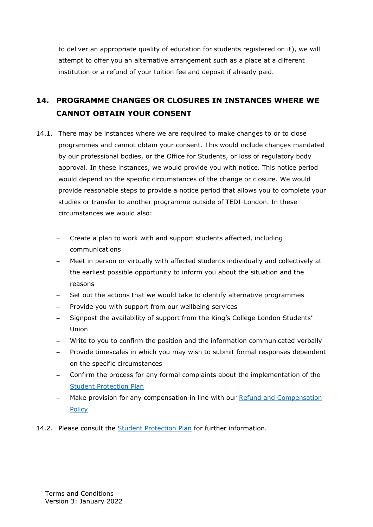to deliver an appropriate quality of education for students registered on it), we will attempt to offer you an alternative arrangement such as a place at a different institution or a refund of your tuition fee and deposit if already paid.

# <span id="page-9-0"></span>**14. PROGRAMME CHANGES OR CLOSURES IN INSTANCES WHERE WE CANNOT OBTAIN YOUR CONSENT**

- 14.1. There may be instances where we are required to make changes to or to close programmes and cannot obtain your consent. This would include changes mandated by our professional bodies, or the Office for Students, or loss of regulatory body approval. In these instances, we would provide you with notice. This notice period would depend on the specific circumstances of the change or closure. We would provide reasonable steps to provide a notice period that allows you to complete your studies or transfer to another programme outside of TEDI-London. In these circumstances we would also:
	- − Create a plan to work with and support students affected, including communications
	- Meet in person or virtually with affected students individually and collectively at the earliest possible opportunity to inform you about the situation and the reasons
	- Set out the actions that we would take to identify alternative programmes
	- Provide you with support from our wellbeing services
	- − Signpost the availability of support from the King's College London Students' Union
	- Write to you to confirm the position and the information communicated verbally
	- Provide timescales in which you may wish to submit formal responses dependent on the specific circumstances
	- − Confirm the process for any formal complaints about the implementation of the [Student Protection Plan](https://tedi-london.ac.uk/policies/)
	- Make provision for any compensation in line with our Refund and Compensation [Policy](https://tedi-london.ac.uk/policies/)
- 14.2. Please consult the [Student Protection Plan](https://tedi-london.ac.uk/policies/) for further information.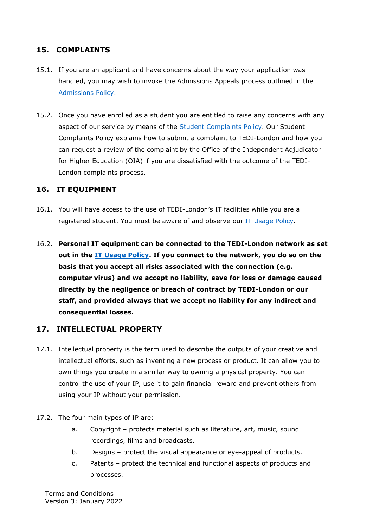### <span id="page-10-0"></span>**15. COMPLAINTS**

- 15.1. If you are an applicant and have concerns about the way your application was handled, you may wish to invoke the Admissions Appeals process outlined in the [Admissions Policy.](https://tedi-london.ac.uk/policies/)
- 15.2. Once you have enrolled as a student you are entitled to raise any concerns with any aspect of our service by means of the **Student Complaints Policy.** Our Student Complaints Policy explains how to submit a complaint to TEDI-London and how you can request a review of the complaint by the Office of the Independent Adjudicator for Higher Education (OIA) if you are dissatisfied with the outcome of the TEDI-London complaints process.

#### <span id="page-10-1"></span>**16. IT EQUIPMENT**

- 16.1. You will have access to the use of TEDI-London's IT facilities while you are a registered student. You must be aware of and observe our [IT Usage Policy.](https://tedi-london.ac.uk/policies/)
- 16.2. **Personal IT equipment can be connected to the TEDI-London network as set out in the [IT Usage Policy.](https://tedi-london.ac.uk/policies/) If you connect to the network, you do so on the basis that you accept all risks associated with the connection (e.g. computer virus) and we accept no liability, save for loss or damage caused directly by the negligence or breach of contract by TEDI-London or our staff, and provided always that we accept no liability for any indirect and consequential losses.**

#### <span id="page-10-2"></span>**17. INTELLECTUAL PROPERTY**

- 17.1. Intellectual property is the term used to describe the outputs of your creative and intellectual efforts, such as inventing a new process or product. It can allow you to own things you create in a similar way to owning a physical property. You can control the use of your IP, use it to gain financial reward and prevent others from using your IP without your permission.
- 17.2. The four main types of IP are:
	- a. Copyright protects material such as literature, art, music, sound recordings, films and broadcasts.
	- b. Designs protect the visual appearance or eye-appeal of products.
	- c. Patents protect the technical and functional aspects of products and processes.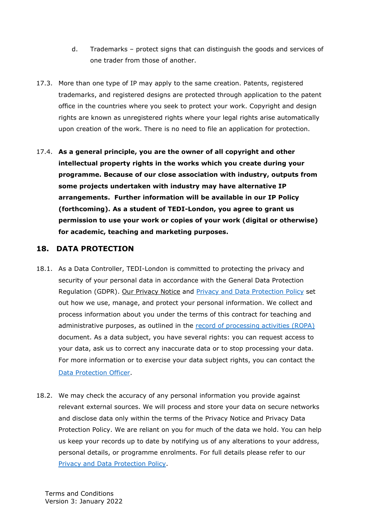- d. Trademarks protect signs that can distinguish the goods and services of one trader from those of another.
- 17.3. More than one type of IP may apply to the same creation. Patents, registered trademarks, and registered designs are protected through application to the patent office in the countries where you seek to protect your work. Copyright and design rights are known as unregistered rights where your legal rights arise automatically upon creation of the work. There is no need to file an application for protection.
- 17.4. **As a general principle, you are the owner of all copyright and other intellectual property rights in the works which you create during your programme. Because of our close association with industry, outputs from some projects undertaken with industry may have alternative IP arrangements. Further information will be available in our IP Policy (forthcoming). As a student of TEDI-London, you agree to grant us permission to use your work or copies of your work (digital or otherwise) for academic, teaching and marketing purposes.**

### <span id="page-11-0"></span>**18. DATA PROTECTION**

- 18.1. As a Data Controller, TEDI-London is committed to protecting the privacy and security of your personal data in accordance with the General Data Protection Regulation (GDPR). [Our Privacy Notice](https://tedi-london.ac.uk/privacy-policy/) and [Privacy and Data Protection Policy](https://tedi-london.ac.uk/policies/) set out how we use, manage, and protect your personal information. We collect and process information about you under the terms of this contract for teaching and administrative purposes, as outlined in the [record of processing activities \(ROPA\)](https://tedi-london.ac.uk/wp-content/uploads/2021/09/ROPA-Students-TEDI-2021-09-16.pdf) document. As a data subject, you have several rights: you can request access to your data, ask us to correct any inaccurate data or to stop processing your data. For more information or to exercise your data subject rights, you can contact the [Data Protection Officer.](mailto:dpo@tedi-london.ac.uk)
- 18.2. We may check the accuracy of any personal information you provide against relevant external sources. We will process and store your data on secure networks and disclose data only within the terms of the Privacy Notice and Privacy Data Protection Policy. We are reliant on you for much of the data we hold. You can help us keep your records up to date by notifying us of any alterations to your address, personal details, or programme enrolments. For full details please refer to our [Privacy and Data Protection Policy.](https://tedi-london.ac.uk/policies/)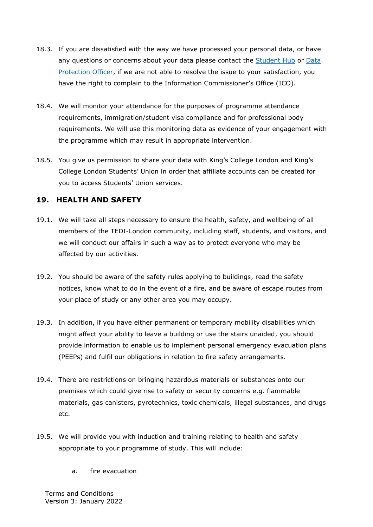- 18.3. If you are dissatisfied with the way we have processed your personal data, or have any questions or concerns about your data please contact the [Student Hub](mailto:studenthub@tedi-london.ac.uk) or [Data](mailto:dpo@tedi-london.ac.uk?)  [Protection Officer,](mailto:dpo@tedi-london.ac.uk?) if we are not able to resolve the issue to your satisfaction, you have the right to complain to the Information Commissioner's Office (ICO).
- 18.4. We will monitor your attendance for the purposes of programme attendance requirements, immigration/student visa compliance and for professional body requirements. We will use this monitoring data as evidence of your engagement with the programme which may result in appropriate intervention.
- 18.5. You give us permission to share your data with King's College London and King's College London Students' Union in order that affiliate accounts can be created for you to access Students' Union services.

# <span id="page-12-0"></span>**19. HEALTH AND SAFETY**

- 19.1. We will take all steps necessary to ensure the health, safety, and wellbeing of all members of the TEDI-London community, including staff, students, and visitors, and we will conduct our affairs in such a way as to protect everyone who may be affected by our activities.
- 19.2. You should be aware of the safety rules applying to buildings, read the safety notices, know what to do in the event of a fire, and be aware of escape routes from your place of study or any other area you may occupy.
- 19.3. In addition, if you have either permanent or temporary mobility disabilities which might affect your ability to leave a building or use the stairs unaided, you should provide information to enable us to implement personal emergency evacuation plans (PEEPs) and fulfil our obligations in relation to fire safety arrangements.
- 19.4. There are restrictions on bringing hazardous materials or substances onto our premises which could give rise to safety or security concerns e.g. flammable materials, gas canisters, pyrotechnics, toxic chemicals, illegal substances, and drugs etc.
- 19.5. We will provide you with induction and training relating to health and safety appropriate to your programme of study. This will include:
	- a. fire evacuation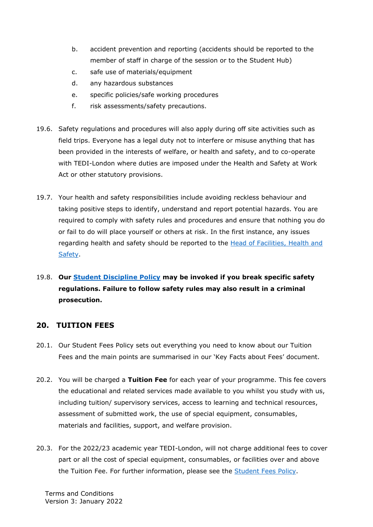- b. accident prevention and reporting (accidents should be reported to the member of staff in charge of the session or to the Student Hub)
- c. safe use of materials/equipment
- d. any hazardous substances
- e. specific policies/safe working procedures
- f. risk assessments/safety precautions.
- 19.6. Safety regulations and procedures will also apply during off site activities such as field trips. Everyone has a legal duty not to interfere or misuse anything that has been provided in the interests of welfare, or health and safety, and to co-operate with TEDI-London where duties are imposed under the Health and Safety at Work Act or other statutory provisions.
- 19.7. Your health and safety responsibilities include avoiding reckless behaviour and taking positive steps to identify, understand and report potential hazards. You are required to comply with safety rules and procedures and ensure that nothing you do or fail to do will place yourself or others at risk. In the first instance, any issues regarding health and safety should be reported to the Head of Facilities, Health and [Safety.](mailto:campus@tedi-london.ac.uk)

# 19.8. **Our Student [Discipline](https://tedi-london.ac.uk/policies/) Policy may be invoked if you break specific safety regulations. Failure to follow safety rules may also result in a criminal prosecution.**

#### <span id="page-13-0"></span>**20. TUITION FEES**

- 20.1. Our Student Fees Policy sets out everything you need to know about our Tuition Fees and the main points are summarised in our 'Key Facts about Fees' document.
- 20.2. You will be charged a **Tuition Fee** for each year of your programme. This fee covers the educational and related services made available to you whilst you study with us, including tuition/ supervisory services, access to learning and technical resources, assessment of submitted work, the use of special equipment, consumables, materials and facilities, support, and welfare provision.
- 20.3. For the 2022/23 academic year TEDI-London, will not charge additional fees to cover part or all the cost of special equipment, consumables, or facilities over and above the Tuition Fee. For further information, please see the **Student Fees Policy**.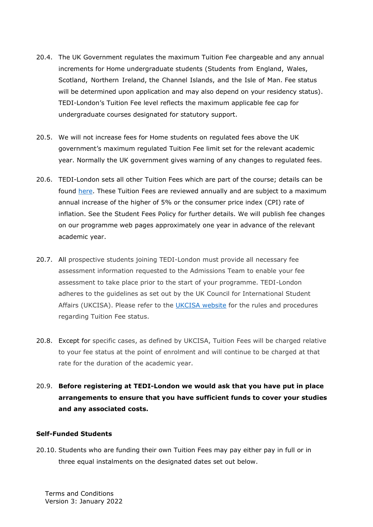- 20.4. The UK Government regulates the maximum Tuition Fee chargeable and any annual increments for Home undergraduate students (Students from England, Wales, Scotland, Northern Ireland, the Channel Islands, and the Isle of Man. Fee status will be determined upon application and may also depend on your residency status). TEDI-London's Tuition Fee level reflects the maximum applicable fee cap for undergraduate courses designated for statutory support.
- 20.5. We will not increase fees for Home students on regulated fees above the UK government's maximum regulated Tuition Fee limit set for the relevant academic year. Normally the UK government gives warning of any changes to regulated fees.
- 20.6. TEDI-London sets all other Tuition Fees which are part of the course; details can be found [here.](https://tedi-london.ac.uk/faqs/) These Tuition Fees are reviewed annually and are subject to a maximum annual increase of the higher of 5% or the consumer price index (CPI) rate of inflation. See the Student Fees Policy for further details. We will publish fee changes on our programme web pages approximately one year in advance of the relevant academic year.
- 20.7. All prospective students joining TEDI-London must provide all necessary fee assessment information requested to the Admissions Team to enable your fee assessment to take place prior to the start of your programme. TEDI-London adheres to the guidelines as set out by the UK Council for International Student Affairs (UKCISA). Please refer to the [UKCISA website](http://www.ukcisa.org.uk/) for the rules and procedures regarding Tuition Fee status.
- 20.8. Except for specific cases, as defined by UKCISA, Tuition Fees will be charged relative to your fee status at the point of enrolment and will continue to be charged at that rate for the duration of the academic year.
- 20.9. **Before registering at TEDI-London we would ask that you have put in place arrangements to ensure that you have sufficient funds to cover your studies and any associated costs.**

#### **Self-Funded Students**

20.10. Students who are funding their own Tuition Fees may pay either pay in full or in three equal instalments on the designated dates set out below.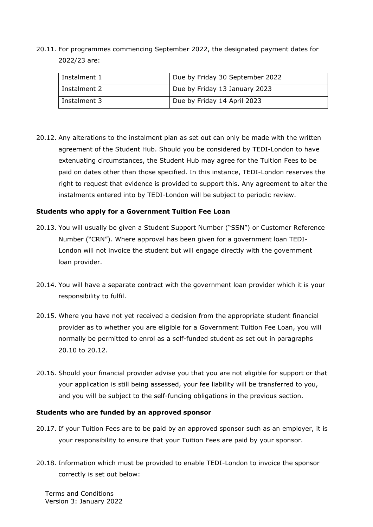20.11. For programmes commencing September 2022, the designated payment dates for 2022/23 are:

| Instalment 1 | Due by Friday 30 September 2022 |
|--------------|---------------------------------|
| Instalment 2 | Due by Friday 13 January 2023   |
| Instalment 3 | Due by Friday 14 April 2023     |

20.12. Any alterations to the instalment plan as set out can only be made with the written agreement of the Student Hub. Should you be considered by TEDI-London to have extenuating circumstances, the Student Hub may agree for the Tuition Fees to be paid on dates other than those specified. In this instance, TEDI-London reserves the right to request that evidence is provided to support this. Any agreement to alter the instalments entered into by TEDI-London will be subject to periodic review.

#### **Students who apply for a Government Tuition Fee Loan**

- 20.13. You will usually be given a Student Support Number ("SSN") or Customer Reference Number ("CRN"). Where approval has been given for a government loan TEDI-London will not invoice the student but will engage directly with the government loan provider.
- 20.14. You will have a separate contract with the government loan provider which it is your responsibility to fulfil.
- 20.15. Where you have not yet received a decision from the appropriate student financial provider as to whether you are eligible for a Government Tuition Fee Loan, you will normally be permitted to enrol as a self-funded student as set out in paragraphs 20.10 to 20.12.
- 20.16. Should your financial provider advise you that you are not eligible for support or that your application is still being assessed, your fee liability will be transferred to you, and you will be subject to the self-funding obligations in the previous section.

#### **Students who are funded by an approved sponsor**

- 20.17. If your Tuition Fees are to be paid by an approved sponsor such as an employer, it is your responsibility to ensure that your Tuition Fees are paid by your sponsor.
- 20.18. Information which must be provided to enable TEDI-London to invoice the sponsor correctly is set out below: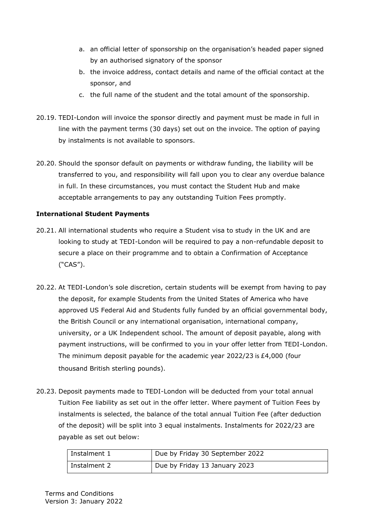- a. an official letter of sponsorship on the organisation's headed paper signed by an authorised signatory of the sponsor
- b. the invoice address, contact details and name of the official contact at the sponsor, and
- c. the full name of the student and the total amount of the sponsorship.
- 20.19. TEDI-London will invoice the sponsor directly and payment must be made in full in line with the payment terms (30 days) set out on the invoice. The option of paying by instalments is not available to sponsors.
- 20.20. Should the sponsor default on payments or withdraw funding, the liability will be transferred to you, and responsibility will fall upon you to clear any overdue balance in full. In these circumstances, you must contact the Student Hub and make acceptable arrangements to pay any outstanding Tuition Fees promptly.

#### **International Student Payments**

- 20.21. All international students who require a Student visa to study in the UK and are looking to study at TEDI-London will be required to pay a non-refundable deposit to secure a place on their programme and to obtain a Confirmation of Acceptance ("CAS").
- 20.22. At TEDI-London's sole discretion, certain students will be exempt from having to pay the deposit, for example Students from the United States of America who have approved US Federal Aid and Students fully funded by an official governmental body, the British Council or any international organisation, international company, university, or a UK Independent school. The amount of deposit payable, along with payment instructions, will be confirmed to you in your offer letter from TEDI-London. The minimum deposit payable for the academic year 2022/23 is £4,000 (four thousand British sterling pounds).
- 20.23. Deposit payments made to TEDI-London will be deducted from your total annual Tuition Fee liability as set out in the offer letter. Where payment of Tuition Fees by instalments is selected, the balance of the total annual Tuition Fee (after deduction of the deposit) will be split into 3 equal instalments. Instalments for 2022/23 are payable as set out below:

| Instalment 1 | Due by Friday 30 September 2022 |
|--------------|---------------------------------|
| Instalment 2 | Due by Friday 13 January 2023   |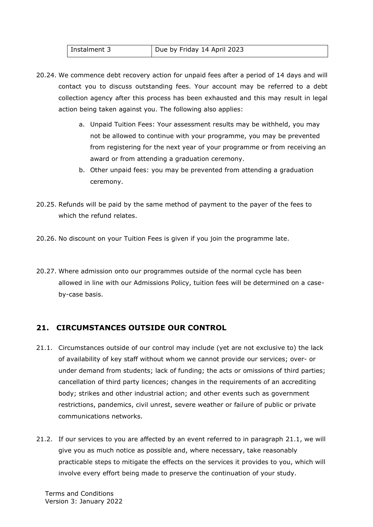| l Instalment 3 | Due by Friday 14 April 2023 |
|----------------|-----------------------------|
|----------------|-----------------------------|

- 20.24. We commence debt recovery action for unpaid fees after a period of 14 days and will contact you to discuss outstanding fees. Your account may be referred to a debt collection agency after this process has been exhausted and this may result in legal action being taken against you. The following also applies:
	- a. Unpaid Tuition Fees: Your assessment results may be withheld, you may not be allowed to continue with your programme, you may be prevented from registering for the next year of your programme or from receiving an award or from attending a graduation ceremony.
	- b. Other unpaid fees: you may be prevented from attending a graduation ceremony.
- 20.25. Refunds will be paid by the same method of payment to the payer of the fees to which the refund relates.
- 20.26. No discount on your Tuition Fees is given if you join the programme late.
- 20.27. Where admission onto our programmes outside of the normal cycle has been allowed in line with our Admissions Policy, tuition fees will be determined on a caseby-case basis.

# <span id="page-17-0"></span>**21. CIRCUMSTANCES OUTSIDE OUR CONTROL**

- 21.1. Circumstances outside of our control may include (yet are not exclusive to) the lack of availability of key staff without whom we cannot provide our services; over- or under demand from students; lack of funding; the acts or omissions of third parties; cancellation of third party licences; changes in the requirements of an accrediting body; strikes and other industrial action; and other events such as government restrictions, pandemics, civil unrest, severe weather or failure of public or private communications networks.
- 21.2. If our services to you are affected by an event referred to in paragraph 21.1, we will give you as much notice as possible and, where necessary, take reasonably practicable steps to mitigate the effects on the services it provides to you, which will involve every effort being made to preserve the continuation of your study.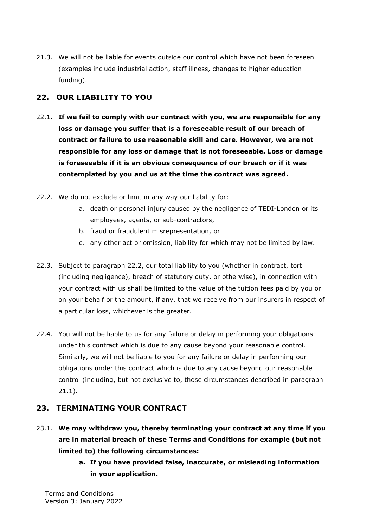21.3. We will not be liable for events outside our control which have not been foreseen (examples include industrial action, staff illness, changes to higher education funding).

# <span id="page-18-0"></span>**22. OUR LIABILITY TO YOU**

- 22.1. **If we fail to comply with our contract with you, we are responsible for any loss or damage you suffer that is a foreseeable result of our breach of contract or failure to use reasonable skill and care. However, we are not responsible for any loss or damage that is not foreseeable. Loss or damage is foreseeable if it is an obvious consequence of our breach or if it was contemplated by you and us at the time the contract was agreed.**
- 22.2. We do not exclude or limit in any way our liability for:
	- a. death or personal injury caused by the negligence of TEDI-London or its employees, agents, or sub-contractors,
	- b. fraud or fraudulent misrepresentation, or
	- c. any other act or omission, liability for which may not be limited by law.
- 22.3. Subject to paragraph 22.2, our total liability to you (whether in contract, tort (including negligence), breach of statutory duty, or otherwise), in connection with your contract with us shall be limited to the value of the tuition fees paid by you or on your behalf or the amount, if any, that we receive from our insurers in respect of a particular loss, whichever is the greater.
- 22.4. You will not be liable to us for any failure or delay in performing your obligations under this contract which is due to any cause beyond your reasonable control. Similarly, we will not be liable to you for any failure or delay in performing our obligations under this contract which is due to any cause beyond our reasonable control (including, but not exclusive to, those circumstances described in paragraph 21.1).

# <span id="page-18-1"></span>**23. TERMINATING YOUR CONTRACT**

- 23.1. **We may withdraw you, thereby terminating your contract at any time if you are in material breach of these Terms and Conditions for example (but not limited to) the following circumstances:** 
	- **a. If you have provided false, inaccurate, or misleading information in your application.**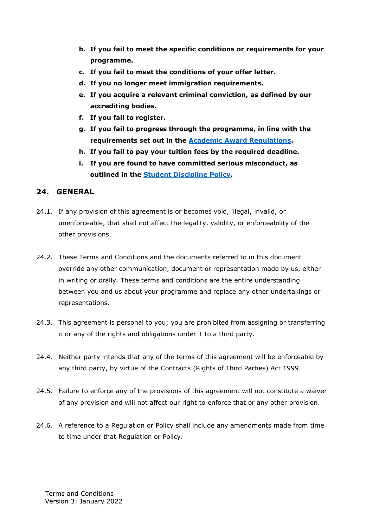- **b. If you fail to meet the specific conditions or requirements for your programme.**
- **c. If you fail to meet the conditions of your offer letter.**
- **d. If you no longer meet immigration requirements.**
- **e. If you acquire a relevant criminal conviction, as defined by our accrediting bodies.**
- **f. If you fail to register.**
- **g. If you fail to progress through the programme, in line with the requirements set out in the [Academic Award Regulations.](https://tedi-london.ac.uk/policies/)**
- **h. If you fail to pay your tuition fees by the required deadline.**
- **i. If you are found to have committed serious misconduct, as outlined in the [Student Discipline Policy.](https://tedi-london.ac.uk/policies/)**

#### <span id="page-19-0"></span>**24. GENERAL**

- 24.1. If any provision of this agreement is or becomes void, illegal, invalid, or unenforceable, that shall not affect the legality, validity, or enforceability of the other provisions.
- 24.2. These Terms and Conditions and the documents referred to in this document override any other communication, document or representation made by us, either in writing or orally. These terms and conditions are the entire understanding between you and us about your programme and replace any other undertakings or representations.
- 24.3. This agreement is personal to you; you are prohibited from assigning or transferring it or any of the rights and obligations under it to a third party.
- 24.4. Neither party intends that any of the terms of this agreement will be enforceable by any third party, by virtue of the Contracts (Rights of Third Parties) Act 1999.
- 24.5. Failure to enforce any of the provisions of this agreement will not constitute a waiver of any provision and will not affect our right to enforce that or any other provision.
- 24.6. A reference to a Regulation or Policy shall include any amendments made from time to time under that Regulation or Policy.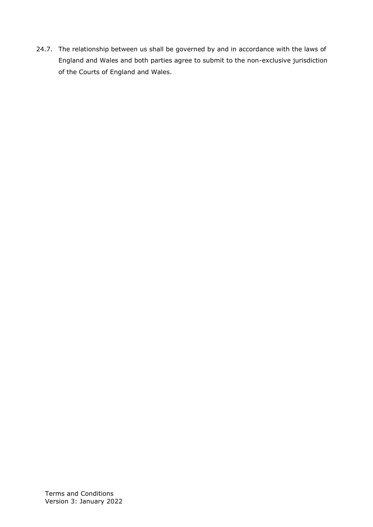24.7. The relationship between us shall be governed by and in accordance with the laws of England and Wales and both parties agree to submit to the non-exclusive jurisdiction of the Courts of England and Wales.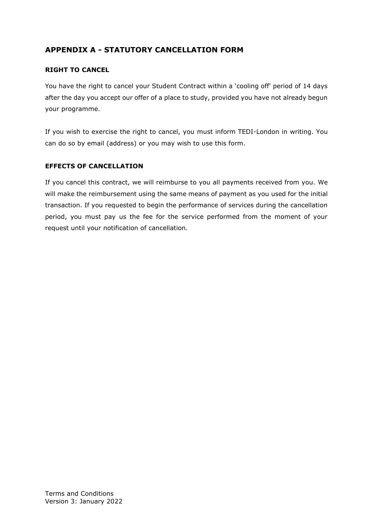# <span id="page-21-0"></span>**APPENDIX A - STATUTORY CANCELLATION FORM**

#### **RIGHT TO CANCEL**

You have the right to cancel your Student Contract within a 'cooling off' period of 14 days after the day you accept our offer of a place to study, provided you have not already begun your programme.

If you wish to exercise the right to cancel, you must inform TEDI-London in writing. You can do so by email (address) or you may wish to use this form.

#### **EFFECTS OF CANCELLATION**

If you cancel this contract, we will reimburse to you all payments received from you. We will make the reimbursement using the same means of payment as you used for the initial transaction. If you requested to begin the performance of services during the cancellation period, you must pay us the fee for the service performed from the moment of your request until your notification of cancellation.